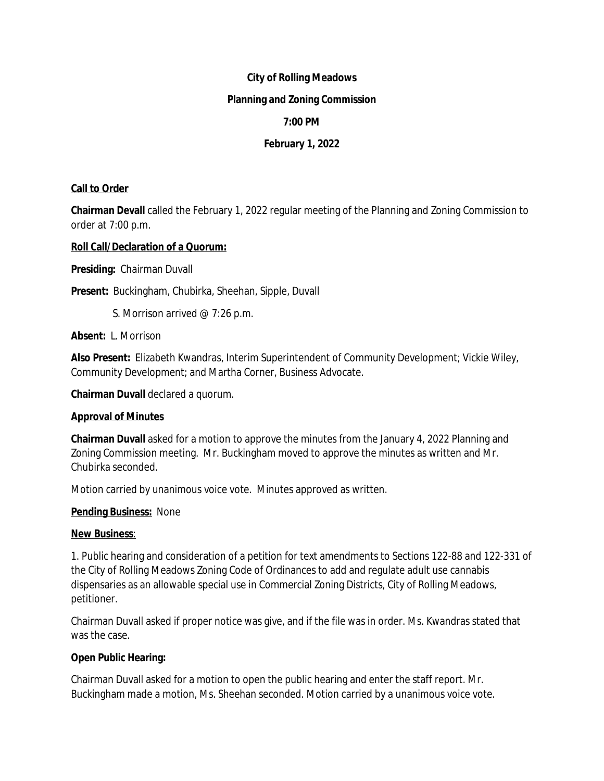## **City of Rolling Meadows**

### **Planning and Zoning Commission**

# **7:00 PM**

# **February 1, 2022**

## **Call to Order**

**Chairman Devall** called the February 1, 2022 regular meeting of the Planning and Zoning Commission to order at 7:00 p.m.

## **Roll Call/Declaration of a Quorum:**

**Presiding:** Chairman Duvall

**Present:** Buckingham, Chubirka, Sheehan, Sipple, Duvall

S. Morrison arrived @ 7:26 p.m.

**Absent:** L. Morrison

**Also Present:** Elizabeth Kwandras, Interim Superintendent of Community Development; Vickie Wiley, Community Development; and Martha Corner, Business Advocate.

**Chairman Duvall** declared a quorum.

#### **Approval of Minutes**

**Chairman Duvall** asked for a motion to approve the minutes from the January 4, 2022 Planning and Zoning Commission meeting. Mr. Buckingham moved to approve the minutes as written and Mr. Chubirka seconded.

Motion carried by unanimous voice vote. Minutes approved as written.

#### **Pending Business:** None

## **New Business**:

1. Public hearing and consideration of a petition for text amendments to Sections 122-88 and 122-331 of the City of Rolling Meadows Zoning Code of Ordinances to add and regulate adult use cannabis dispensaries as an allowable special use in Commercial Zoning Districts, City of Rolling Meadows, petitioner.

Chairman Duvall asked if proper notice was give, and if the file was in order. Ms. Kwandras stated that was the case.

## **Open Public Hearing:**

Chairman Duvall asked for a motion to open the public hearing and enter the staff report. Mr. Buckingham made a motion, Ms. Sheehan seconded. Motion carried by a unanimous voice vote.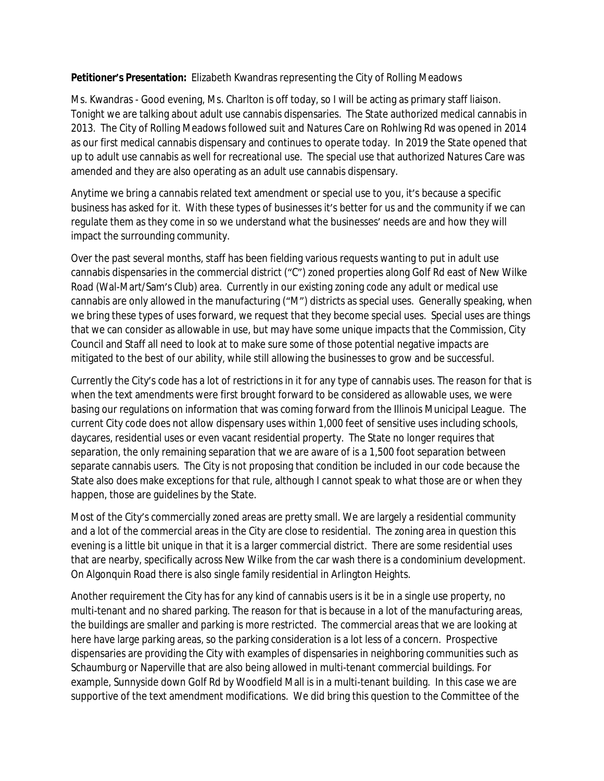## **Petitioner's Presentation:** Elizabeth Kwandras representing the City of Rolling Meadows

Ms. Kwandras - Good evening, Ms. Charlton is off today, so I will be acting as primary staff liaison. Tonight we are talking about adult use cannabis dispensaries. The State authorized medical cannabis in 2013. The City of Rolling Meadows followed suit and Natures Care on Rohlwing Rd was opened in 2014 as our first medical cannabis dispensary and continues to operate today. In 2019 the State opened that up to adult use cannabis as well for recreational use. The special use that authorized Natures Care was amended and they are also operating as an adult use cannabis dispensary.

Anytime we bring a cannabis related text amendment or special use to you, it's because a specific business has asked for it. With these types of businesses it's better for us and the community if we can regulate them as they come in so we understand what the businesses' needs are and how they will impact the surrounding community.

Over the past several months, staff has been fielding various requests wanting to put in adult use cannabis dispensaries in the commercial district ("C") zoned properties along Golf Rd east of New Wilke Road (Wal-Mart/Sam's Club) area. Currently in our existing zoning code any adult or medical use cannabis are only allowed in the manufacturing ("M") districts as special uses. Generally speaking, when we bring these types of uses forward, we request that they become special uses. Special uses are things that we can consider as allowable in use, but may have some unique impacts that the Commission, City Council and Staff all need to look at to make sure some of those potential negative impacts are mitigated to the best of our ability, while still allowing the businesses to grow and be successful.

Currently the City's code has a lot of restrictions in it for any type of cannabis uses. The reason for that is when the text amendments were first brought forward to be considered as allowable uses, we were basing our regulations on information that was coming forward from the Illinois Municipal League. The current City code does not allow dispensary uses within 1,000 feet of sensitive uses including schools, daycares, residential uses or even vacant residential property. The State no longer requires that separation, the only remaining separation that we are aware of is a 1,500 foot separation between separate cannabis users. The City is not proposing that condition be included in our code because the State also does make exceptions for that rule, although I cannot speak to what those are or when they happen, those are guidelines by the State.

Most of the City's commercially zoned areas are pretty small. We are largely a residential community and a lot of the commercial areas in the City are close to residential. The zoning area in question this evening is a little bit unique in that it is a larger commercial district. There are some residential uses that are nearby, specifically across New Wilke from the car wash there is a condominium development. On Algonquin Road there is also single family residential in Arlington Heights.

Another requirement the City has for any kind of cannabis users is it be in a single use property, no multi-tenant and no shared parking. The reason for that is because in a lot of the manufacturing areas, the buildings are smaller and parking is more restricted. The commercial areas that we are looking at here have large parking areas, so the parking consideration is a lot less of a concern. Prospective dispensaries are providing the City with examples of dispensaries in neighboring communities such as Schaumburg or Naperville that are also being allowed in multi-tenant commercial buildings. For example, Sunnyside down Golf Rd by Woodfield Mall is in a multi-tenant building. In this case we are supportive of the text amendment modifications. We did bring this question to the Committee of the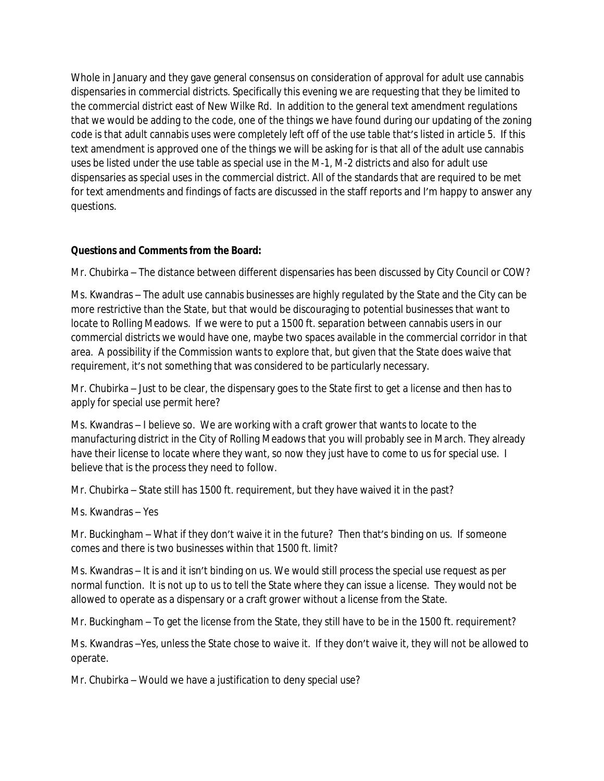Whole in January and they gave general consensus on consideration of approval for adult use cannabis dispensaries in commercial districts. Specifically this evening we are requesting that they be limited to the commercial district east of New Wilke Rd. In addition to the general text amendment regulations that we would be adding to the code, one of the things we have found during our updating of the zoning code is that adult cannabis uses were completely left off of the use table that's listed in article 5. If this text amendment is approved one of the things we will be asking for is that all of the adult use cannabis uses be listed under the use table as special use in the M-1, M-2 districts and also for adult use dispensaries as special uses in the commercial district. All of the standards that are required to be met for text amendments and findings of facts are discussed in the staff reports and I'm happy to answer any questions.

## **Questions and Comments from the Board:**

Mr. Chubirka – The distance between different dispensaries has been discussed by City Council or COW?

Ms. Kwandras – The adult use cannabis businesses are highly regulated by the State and the City can be more restrictive than the State, but that would be discouraging to potential businesses that want to locate to Rolling Meadows. If we were to put a 1500 ft. separation between cannabis users in our commercial districts we would have one, maybe two spaces available in the commercial corridor in that area. A possibility if the Commission wants to explore that, but given that the State does waive that requirement, it's not something that was considered to be particularly necessary.

Mr. Chubirka – Just to be clear, the dispensary goes to the State first to get a license and then has to apply for special use permit here?

Ms. Kwandras – I believe so. We are working with a craft grower that wants to locate to the manufacturing district in the City of Rolling Meadows that you will probably see in March. They already have their license to locate where they want, so now they just have to come to us for special use. I believe that is the process they need to follow.

Mr. Chubirka – State still has 1500 ft. requirement, but they have waived it in the past?

Ms. Kwandras – Yes

Mr. Buckingham – What if they don't waive it in the future? Then that's binding on us. If someone comes and there is two businesses within that 1500 ft. limit?

Ms. Kwandras – It is and it isn't binding on us. We would still process the special use request as per normal function. It is not up to us to tell the State where they can issue a license. They would not be allowed to operate as a dispensary or a craft grower without a license from the State.

Mr. Buckingham – To get the license from the State, they still have to be in the 1500 ft. requirement?

Ms. Kwandras –Yes, unless the State chose to waive it. If they don't waive it, they will not be allowed to operate.

Mr. Chubirka – Would we have a justification to deny special use?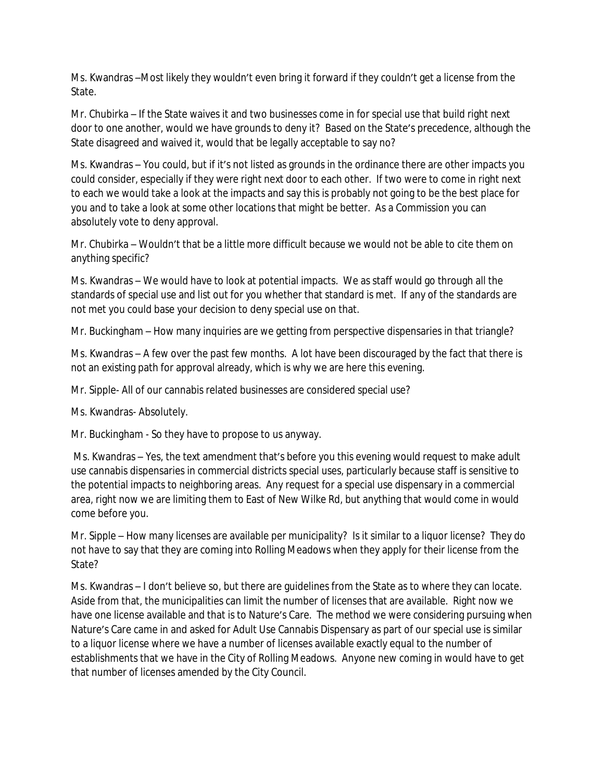Ms. Kwandras –Most likely they wouldn't even bring it forward if they couldn't get a license from the State.

Mr. Chubirka – If the State waives it and two businesses come in for special use that build right next door to one another, would we have grounds to deny it? Based on the State's precedence, although the State disagreed and waived it, would that be legally acceptable to say no?

Ms. Kwandras – You could, but if it's not listed as grounds in the ordinance there are other impacts you could consider, especially if they were right next door to each other. If two were to come in right next to each we would take a look at the impacts and say this is probably not going to be the best place for you and to take a look at some other locations that might be better. As a Commission you can absolutely vote to deny approval.

Mr. Chubirka – Wouldn't that be a little more difficult because we would not be able to cite them on anything specific?

Ms. Kwandras – We would have to look at potential impacts. We as staff would go through all the standards of special use and list out for you whether that standard is met. If any of the standards are not met you could base your decision to deny special use on that.

Mr. Buckingham – How many inquiries are we getting from perspective dispensaries in that triangle?

Ms. Kwandras – A few over the past few months. A lot have been discouraged by the fact that there is not an existing path for approval already, which is why we are here this evening.

Mr. Sipple- All of our cannabis related businesses are considered special use?

Ms. Kwandras- Absolutely.

Mr. Buckingham - So they have to propose to us anyway.

Ms. Kwandras – Yes, the text amendment that's before you this evening would request to make adult use cannabis dispensaries in commercial districts special uses, particularly because staff is sensitive to the potential impacts to neighboring areas. Any request for a special use dispensary in a commercial area, right now we are limiting them to East of New Wilke Rd, but anything that would come in would come before you.

Mr. Sipple – How many licenses are available per municipality? Is it similar to a liquor license? They do not have to say that they are coming into Rolling Meadows when they apply for their license from the State?

Ms. Kwandras – I don't believe so, but there are guidelines from the State as to where they can locate. Aside from that, the municipalities can limit the number of licenses that are available. Right now we have one license available and that is to Nature's Care. The method we were considering pursuing when Nature's Care came in and asked for Adult Use Cannabis Dispensary as part of our special use is similar to a liquor license where we have a number of licenses available exactly equal to the number of establishments that we have in the City of Rolling Meadows. Anyone new coming in would have to get that number of licenses amended by the City Council.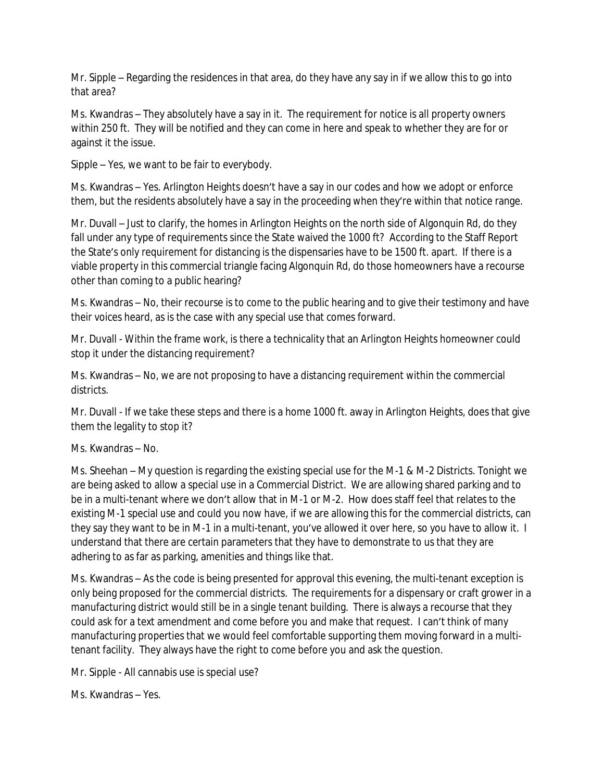Mr. Sipple – Regarding the residences in that area, do they have any say in if we allow this to go into that area?

Ms. Kwandras – They absolutely have a say in it. The requirement for notice is all property owners within 250 ft. They will be notified and they can come in here and speak to whether they are for or against it the issue.

Sipple – Yes, we want to be fair to everybody.

Ms. Kwandras – Yes. Arlington Heights doesn't have a say in our codes and how we adopt or enforce them, but the residents absolutely have a say in the proceeding when they're within that notice range.

Mr. Duvall – Just to clarify, the homes in Arlington Heights on the north side of Algonquin Rd, do they fall under any type of requirements since the State waived the 1000 ft? According to the Staff Report the State's only requirement for distancing is the dispensaries have to be 1500 ft. apart. If there is a viable property in this commercial triangle facing Algonquin Rd, do those homeowners have a recourse other than coming to a public hearing?

Ms. Kwandras – No, their recourse is to come to the public hearing and to give their testimony and have their voices heard, as is the case with any special use that comes forward.

Mr. Duvall - Within the frame work, is there a technicality that an Arlington Heights homeowner could stop it under the distancing requirement?

Ms. Kwandras – No, we are not proposing to have a distancing requirement within the commercial districts.

Mr. Duvall - If we take these steps and there is a home 1000 ft. away in Arlington Heights, does that give them the legality to stop it?

Ms. Kwandras – No.

Ms. Sheehan – My question is regarding the existing special use for the M-1 & M-2 Districts. Tonight we are being asked to allow a special use in a Commercial District. We are allowing shared parking and to be in a multi-tenant where we don't allow that in M-1 or M-2. How does staff feel that relates to the existing M-1 special use and could you now have, if we are allowing this for the commercial districts, can they say they want to be in M-1 in a multi-tenant, you've allowed it over here, so you have to allow it. I understand that there are certain parameters that they have to demonstrate to us that they are adhering to as far as parking, amenities and things like that.

Ms. Kwandras – As the code is being presented for approval this evening, the multi-tenant exception is only being proposed for the commercial districts. The requirements for a dispensary or craft grower in a manufacturing district would still be in a single tenant building. There is always a recourse that they could ask for a text amendment and come before you and make that request. I can't think of many manufacturing properties that we would feel comfortable supporting them moving forward in a multitenant facility. They always have the right to come before you and ask the question.

Mr. Sipple - All cannabis use is special use?

Ms. Kwandras – Yes.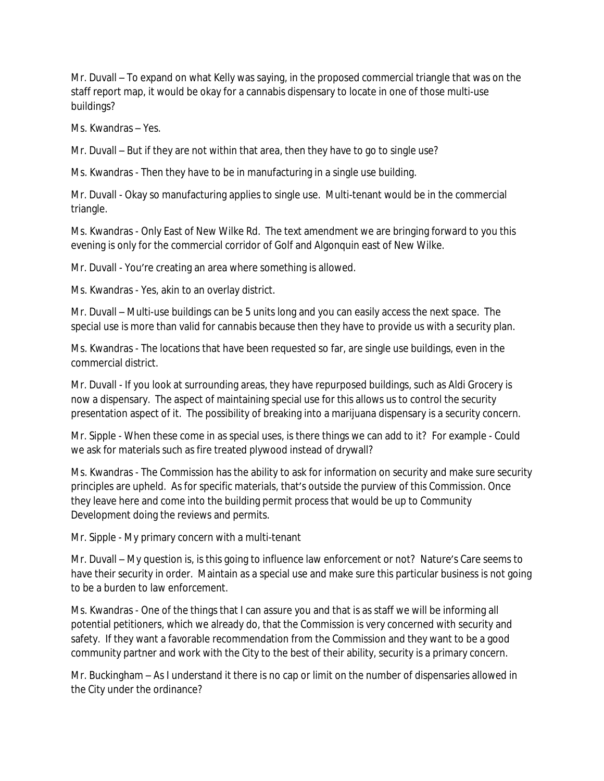Mr. Duvall – To expand on what Kelly was saying, in the proposed commercial triangle that was on the staff report map, it would be okay for a cannabis dispensary to locate in one of those multi-use buildings?

Ms. Kwandras – Yes.

Mr. Duvall – But if they are not within that area, then they have to go to single use?

Ms. Kwandras - Then they have to be in manufacturing in a single use building.

Mr. Duvall - Okay so manufacturing applies to single use. Multi-tenant would be in the commercial triangle.

Ms. Kwandras - Only East of New Wilke Rd. The text amendment we are bringing forward to you this evening is only for the commercial corridor of Golf and Algonquin east of New Wilke.

Mr. Duvall - You're creating an area where something is allowed.

Ms. Kwandras - Yes, akin to an overlay district.

Mr. Duvall – Multi-use buildings can be 5 units long and you can easily access the next space. The special use is more than valid for cannabis because then they have to provide us with a security plan.

Ms. Kwandras - The locations that have been requested so far, are single use buildings, even in the commercial district.

Mr. Duvall - If you look at surrounding areas, they have repurposed buildings, such as Aldi Grocery is now a dispensary. The aspect of maintaining special use for this allows us to control the security presentation aspect of it. The possibility of breaking into a marijuana dispensary is a security concern.

Mr. Sipple - When these come in as special uses, is there things we can add to it? For example - Could we ask for materials such as fire treated plywood instead of drywall?

Ms. Kwandras - The Commission has the ability to ask for information on security and make sure security principles are upheld. As for specific materials, that's outside the purview of this Commission. Once they leave here and come into the building permit process that would be up to Community Development doing the reviews and permits.

Mr. Sipple - My primary concern with a multi-tenant

Mr. Duvall – My question is, is this going to influence law enforcement or not? Nature's Care seems to have their security in order. Maintain as a special use and make sure this particular business is not going to be a burden to law enforcement.

Ms. Kwandras - One of the things that I can assure you and that is as staff we will be informing all potential petitioners, which we already do, that the Commission is very concerned with security and safety. If they want a favorable recommendation from the Commission and they want to be a good community partner and work with the City to the best of their ability, security is a primary concern.

Mr. Buckingham – As I understand it there is no cap or limit on the number of dispensaries allowed in the City under the ordinance?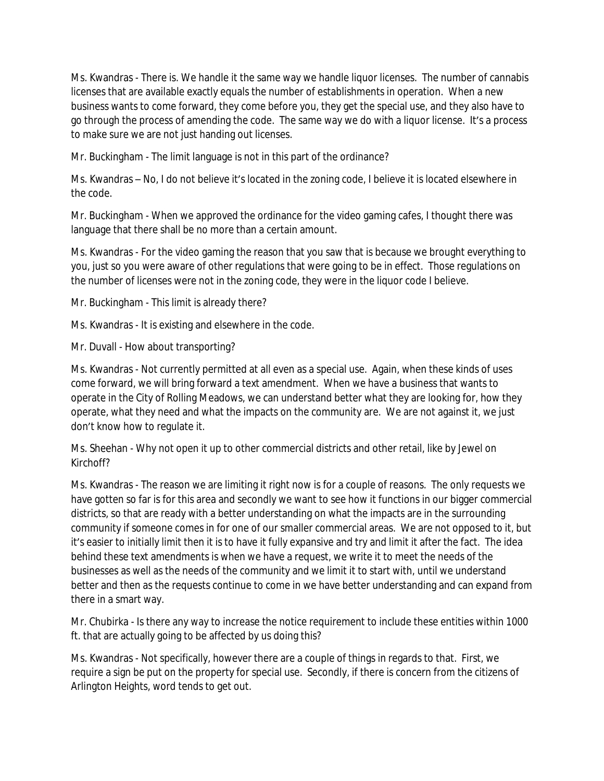Ms. Kwandras - There is. We handle it the same way we handle liquor licenses. The number of cannabis licenses that are available exactly equals the number of establishments in operation. When a new business wants to come forward, they come before you, they get the special use, and they also have to go through the process of amending the code. The same way we do with a liquor license. It's a process to make sure we are not just handing out licenses.

Mr. Buckingham - The limit language is not in this part of the ordinance?

Ms. Kwandras – No, I do not believe it's located in the zoning code, I believe it is located elsewhere in the code.

Mr. Buckingham - When we approved the ordinance for the video gaming cafes, I thought there was language that there shall be no more than a certain amount.

Ms. Kwandras - For the video gaming the reason that you saw that is because we brought everything to you, just so you were aware of other regulations that were going to be in effect. Those regulations on the number of licenses were not in the zoning code, they were in the liquor code I believe.

Mr. Buckingham - This limit is already there?

Ms. Kwandras - It is existing and elsewhere in the code.

Mr. Duvall - How about transporting?

Ms. Kwandras - Not currently permitted at all even as a special use. Again, when these kinds of uses come forward, we will bring forward a text amendment. When we have a business that wants to operate in the City of Rolling Meadows, we can understand better what they are looking for, how they operate, what they need and what the impacts on the community are. We are not against it, we just don't know how to regulate it.

Ms. Sheehan - Why not open it up to other commercial districts and other retail, like by Jewel on Kirchoff?

Ms. Kwandras - The reason we are limiting it right now is for a couple of reasons. The only requests we have gotten so far is for this area and secondly we want to see how it functions in our bigger commercial districts, so that are ready with a better understanding on what the impacts are in the surrounding community if someone comes in for one of our smaller commercial areas. We are not opposed to it, but it's easier to initially limit then it is to have it fully expansive and try and limit it after the fact. The idea behind these text amendments is when we have a request, we write it to meet the needs of the businesses as well as the needs of the community and we limit it to start with, until we understand better and then as the requests continue to come in we have better understanding and can expand from there in a smart way.

Mr. Chubirka - Is there any way to increase the notice requirement to include these entities within 1000 ft. that are actually going to be affected by us doing this?

Ms. Kwandras - Not specifically, however there are a couple of things in regards to that. First, we require a sign be put on the property for special use. Secondly, if there is concern from the citizens of Arlington Heights, word tends to get out.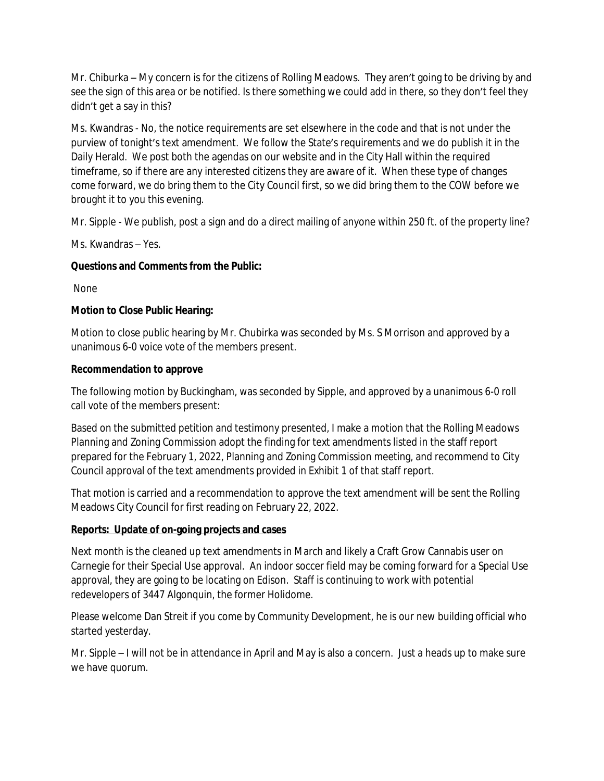Mr. Chiburka – My concern is for the citizens of Rolling Meadows. They aren't going to be driving by and see the sign of this area or be notified. Is there something we could add in there, so they don't feel they didn't get a say in this?

Ms. Kwandras - No, the notice requirements are set elsewhere in the code and that is not under the purview of tonight's text amendment. We follow the State's requirements and we do publish it in the Daily Herald. We post both the agendas on our website and in the City Hall within the required timeframe, so if there are any interested citizens they are aware of it. When these type of changes come forward, we do bring them to the City Council first, so we did bring them to the COW before we brought it to you this evening.

Mr. Sipple - We publish, post a sign and do a direct mailing of anyone within 250 ft. of the property line?

Ms. Kwandras – Yes.

# **Questions and Comments from the Public:**

None

# **Motion to Close Public Hearing:**

Motion to close public hearing by Mr. Chubirka was seconded by Ms. S Morrison and approved by a unanimous 6-0 voice vote of the members present.

# **Recommendation to approve**

The following motion by Buckingham, was seconded by Sipple, and approved by a unanimous 6-0 roll call vote of the members present:

Based on the submitted petition and testimony presented, I make a motion that the Rolling Meadows Planning and Zoning Commission adopt the finding for text amendments listed in the staff report prepared for the February 1, 2022, Planning and Zoning Commission meeting, and recommend to City Council approval of the text amendments provided in Exhibit 1 of that staff report.

That motion is carried and a recommendation to approve the text amendment will be sent the Rolling Meadows City Council for first reading on February 22, 2022.

## **Reports: Update of on-going projects and cases**

Next month is the cleaned up text amendments in March and likely a Craft Grow Cannabis user on Carnegie for their Special Use approval. An indoor soccer field may be coming forward for a Special Use approval, they are going to be locating on Edison. Staff is continuing to work with potential redevelopers of 3447 Algonquin, the former Holidome.

Please welcome Dan Streit if you come by Community Development, he is our new building official who started yesterday.

Mr. Sipple – I will not be in attendance in April and May is also a concern. Just a heads up to make sure we have quorum.